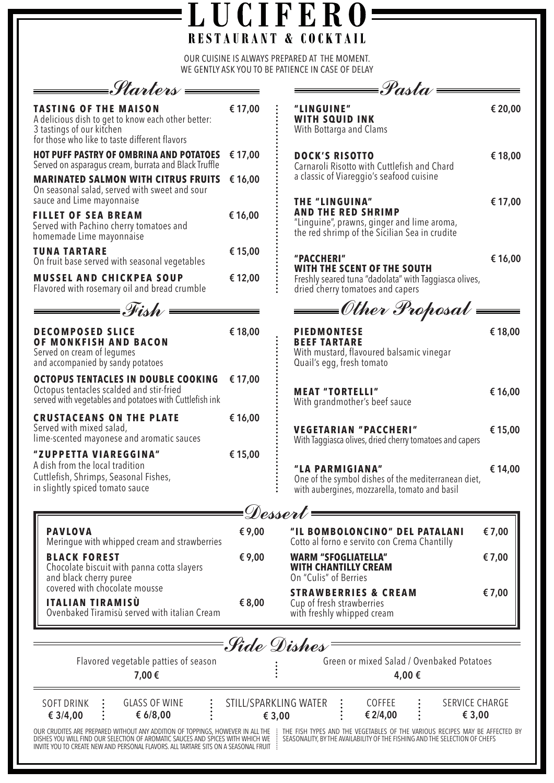|                                                                                                                                                                                                                                                             |         | OUR CUISINE IS ALWAYS PREPARED AT THE MOMENT.<br>WE GENTLY ASK YOU TO BE PATIENCE IN CASE OF DELAY                                                        |         |
|-------------------------------------------------------------------------------------------------------------------------------------------------------------------------------------------------------------------------------------------------------------|---------|-----------------------------------------------------------------------------------------------------------------------------------------------------------|---------|
| =Starters <del>= =</del>                                                                                                                                                                                                                                    |         | $\equiv$ Pasta                                                                                                                                            |         |
| <b>TASTING OF THE MAISON</b><br>A delicious dish to get to know each other better:<br>3 tastings of our kitchen<br>for those who like to taste different flavors                                                                                            | € 17,00 | "LINGUINE"<br><b>WITH SQUID INK</b><br>With Bottarga and Clams                                                                                            | € 20,00 |
| <b>HOT PUFF PASTRY OF OMBRINA AND POTATOES</b><br>Served on asparagus cream, burrata and Black Truffle                                                                                                                                                      | € 17,00 | <b>DOCK'S RISOTTO</b><br>Carnaroli Risotto with Cuttlefish and Chard<br>a classic of Viareggio's seafood cuisine<br><b>THE "LINGUINA"</b>                 | € 18,00 |
| <b>MARINATED SALMON WITH CITRUS FRUITS</b><br>On seasonal salad, served with sweet and sour<br>sauce and Lime mayonnaise                                                                                                                                    | € 16,00 |                                                                                                                                                           | € 17,00 |
| <b>FILLET OF SEA BREAM</b><br>Served with Pachino cherry tomatoes and<br>homemade Lime mayonnaise                                                                                                                                                           | € 16,00 | <b>AND THE RED SHRIMP</b><br>"Linguine", prawns, ginger and lime aroma,<br>the red shrimp of the Sicilian Sea in crudite                                  |         |
| <b>TUNA TARTARE</b><br>On fruit base served with seasonal vegetables                                                                                                                                                                                        | € 15,00 | "PACCHERI"<br>WITH THE SCENT OF THE SOUTH<br>Freshly seared tuna "dadolata" with Taggiasca olives,<br>dried cherry tomatoes and capers                    | €16,00  |
| <b>MUSSEL AND CHICKPEA SOUP</b><br>Flavored with rosemary oil and bread crumble                                                                                                                                                                             | € 12,00 |                                                                                                                                                           |         |
| $\hspace{1.5cm}$ Fish $\hspace{1.5cm}$ $\hspace{1.5cm}$                                                                                                                                                                                                     |         |                                                                                                                                                           |         |
| <b>DECOMPOSED SLICE</b><br>OF MONKFISH AND BACON<br>Served on cream of legumes<br>and accompanied by sandy potatoes                                                                                                                                         | € 18,00 | <b>PIEDMONTESE</b><br><b>BEEF TARTARE</b><br>With mustard, flavoured balsamic vinegar<br>Quail's egg, fresh tomato                                        | € 18,00 |
| <b>OCTOPUS TENTACLES IN DOUBLE COOKING</b><br>Octopus tentacles scalded and stir-fried<br>served with vegetables and potatoes with Cuttlefish ink                                                                                                           | € 17,00 | <b>MEAT "TORTELLI"</b><br>With grandmother's beef sauce                                                                                                   | € 16,00 |
| <b>CRUSTACEANS ON THE PLATE</b><br>Served with mixed salad,<br>lime-scented mayonese and aromatic sauces                                                                                                                                                    | € 16,00 | <b>VEGETARIAN "PACCHERI"</b><br>With Taggiasca olives, dried cherry tomatoes and capers                                                                   | € 15,00 |
| "ZUPPETTA VIAREGGINA"<br>A dish from the local tradition<br>Cuttlefish, Shrimps, Seasonal Fishes,<br>in slightly spiced tomato sauce                                                                                                                        | € 15,00 | "LA PARMIGIANA"<br>One of the symbol dishes of the mediterranean diet,<br>with aubergines, mozzarella, tomato and basil                                   | € 14,00 |
|                                                                                                                                                                                                                                                             |         | Dessert                                                                                                                                                   |         |
| <b>PAVLOVA</b><br>Meringue with whipped cream and strawberries                                                                                                                                                                                              | € 9,00  | "IL BOMBOLONCINO" DEL PATALANI<br>Cotto al forno e servito con Crema Chantilly                                                                            | €7,00   |
| <b>BLACK FOREST</b><br>Chocolate biscuit with panna cotta slayers<br>and black cherry puree                                                                                                                                                                 | € 9,00  | <b>WARM "SFOGLIATELLA"</b><br><b>WITH CHANTILLY CREAM</b><br>On "Culis" of Berries                                                                        | €7,00   |
| covered with chocolate mousse<br><b>ITALIAN TIRAMISÙ</b><br>Ovenbaked Tiramisù served with italian Cream                                                                                                                                                    | € 8,00  | <b>STRAWBERRIES &amp; CREAM</b><br>Cup of fresh strawberries<br>with freshly whipped cream                                                                | € 7,00  |
|                                                                                                                                                                                                                                                             |         | ·Side Dishes                                                                                                                                              |         |
| Flavored vegetable patties of season<br>7,00€                                                                                                                                                                                                               |         | Green or mixed Salad / Ovenbaked Potatoes<br>4,00 €                                                                                                       |         |
| <b>GLASS OF WINE</b><br><b>SOFT DRINK</b><br>€ $6/8,00$<br>€ $3/4,00$                                                                                                                                                                                       |         | STILL/SPARKLING WATER<br>COFFEE<br><b>SERVICE CHARGE</b><br>€ 2/4,00<br>€ 3,00<br>€ 3,00                                                                  |         |
| OUR CRUDITES ARE PREPARED WITHOUT ANY ADDITION OF TOPPINGS, HOWEVER IN ALL THE :<br>DISHES YOU WILL FIND OUR SELECTION OF AROMATIC SAUCES AND SPICES WITH WHICH WE<br>INVITE YOU TO CREATE NEW AND PERSONAL FLAVORS. ALL TARTARE SITS ON A SEASONAL FRUIT : |         | THE FISH TYPES AND THE VEGETABLES OF THE VARIOUS RECIPES MAY BE AFFECTED BY<br>SEASONALITY, BY THE AVAILABILITY OF THE FISHING AND THE SELECTION OF CHEFS |         |

**LUCIFERO=** 

 $\blacksquare$